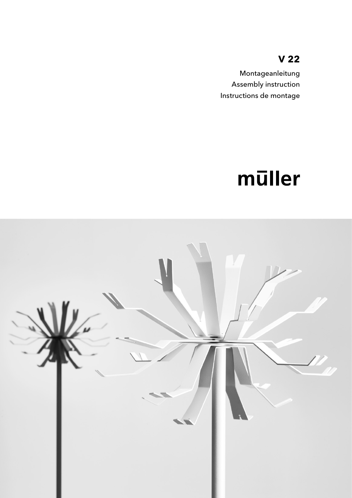## $V<sub>22</sub>$

Montageanleitung Assembly instruction Instructions de montage

# mūller